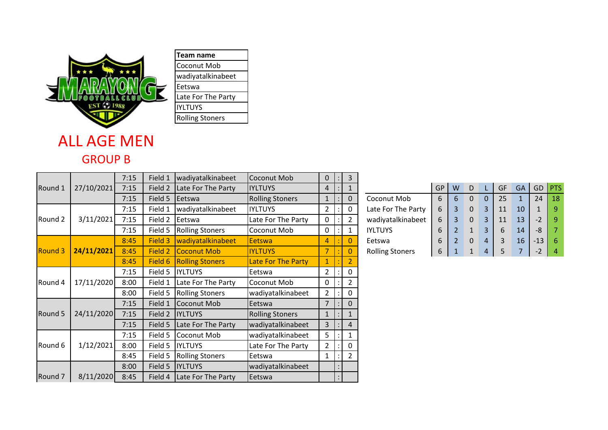

## wadiyatalkinabeet Late For The Party

## ALL AGE MEN GROUP B

|                    |            | 7:15 | Field 1 | wadiyatalkinabeet      | Coconut Mob               | 0              | 3              |                        |           |   |   |          |    |           |       |                |
|--------------------|------------|------|---------|------------------------|---------------------------|----------------|----------------|------------------------|-----------|---|---|----------|----|-----------|-------|----------------|
| Round 1            | 27/10/2021 | 7:15 | Field 2 | Late For The Party     | <b>IYLTUYS</b>            | 4              |                |                        | <b>GP</b> | W | D |          | GF | <b>GA</b> |       | GD <b>PTS</b>  |
|                    |            | 7:15 | Field 5 | Eetswa                 | <b>Rolling Stoners</b>    | $\mathbf{1}$   | $\mathbf 0$    | Coconut Mob            | 6         | 6 | 0 | $\Omega$ | 25 |           | 24    | 18             |
| Round 2            | 3/11/2021  | 7:15 | Field 1 | wadiyatalkinabeet      | <b>IYLTUYS</b>            | $\overline{2}$ | 0              | Late For The Party     | 6         | 3 | 0 | 3        | 11 | 10        |       | 9              |
|                    |            | 7:15 | Field 2 | Eetswa                 | Late For The Party        | 0              | 2              | wadiyatalkinabeet      | 6         | 3 | 0 | 3        | 11 | 13        | $-2$  | 9              |
|                    |            | 7:15 | Field 5 | <b>Rolling Stoners</b> | Coconut Mob               | 0              | 1              | <b>IYLTUYS</b>         | 6         |   |   | 3        | 6  | 14        | -8    | 7              |
| <b>Round 3</b>     | 24/11/2021 | 8:45 | Field 3 | wadiyatalkinabeet      | <b>Eetswa</b>             | 4              | 0              | Eetswa                 | 6         |   | 0 | 4        | 3  | 16        | $-13$ | 6              |
|                    |            | 8:45 | Field 2 | <b>ICoconut Mob</b>    | <b>IYLTUYS</b>            | $\overline{7}$ | 0              | <b>Rolling Stoners</b> | 6         |   |   | 4        | 5  |           | $-2$  | $\overline{4}$ |
|                    |            | 8:45 | Field 6 | <b>Rolling Stoners</b> | <b>Late For The Party</b> | $\mathbf 1$    |                |                        |           |   |   |          |    |           |       |                |
| Round 4            | 17/11/2020 | 7:15 |         | Field 5  IYLTUYS       | Eetswa                    | $\overline{2}$ | 0              |                        |           |   |   |          |    |           |       |                |
|                    |            | 8:00 | Field 1 | Late For The Party     | Coconut Mob               | 0              | $\overline{2}$ |                        |           |   |   |          |    |           |       |                |
|                    |            | 8:00 | Field 5 | <b>Rolling Stoners</b> | wadiyatalkinabeet         | $\overline{2}$ | 0              |                        |           |   |   |          |    |           |       |                |
| Round 5            | 24/11/2020 | 7:15 | Field 1 | Coconut Mob            | Eetswa                    | $\overline{7}$ | 0              |                        |           |   |   |          |    |           |       |                |
|                    |            | 7:15 | Field 2 | <b>IYLTUYS</b>         | <b>Rolling Stoners</b>    | 1              |                |                        |           |   |   |          |    |           |       |                |
|                    |            | 7:15 | Field 5 | Late For The Party     | wadiyatalkinabeet         | 3              | 4              |                        |           |   |   |          |    |           |       |                |
| Round 6            | 1/12/2021  | 7:15 | Field 5 | Coconut Mob            | wadiyatalkinabeet         | 5              |                |                        |           |   |   |          |    |           |       |                |
|                    |            | 8:00 | Field 5 | <b>IYLTUYS</b>         | Late For The Party        | $\overline{2}$ | 0              |                        |           |   |   |          |    |           |       |                |
|                    |            | 8:45 | Field 5 | <b>Rolling Stoners</b> | Eetswa                    |                | 2              |                        |           |   |   |          |    |           |       |                |
|                    |            | 8:00 |         | Field 5  IYLTUYS       | wadiyatalkinabeet         |                |                |                        |           |   |   |          |    |           |       |                |
| Round <sub>7</sub> | 8/11/2020  | 8:45 | Field 4 | Late For The Party     | Eetswa                    |                |                |                        |           |   |   |          |    |           |       |                |

|                        | GP | W              | D |   | GF | GA | GD    | <b>PTS</b> |
|------------------------|----|----------------|---|---|----|----|-------|------------|
| Coconut Mob            | 6  | 6              |   | 0 | 25 |    | 24    | 18         |
| Late For The Party     | 6  | 3              |   | 3 | 11 | 10 |       | q          |
| wadiyatalkinabeet      | 6  | 3              |   | 3 | 11 | 13 | $-2$  | q          |
| <b>YLTUYS</b>          | 6  | $\overline{2}$ |   | 3 | 6  | 14 | -8    |            |
| Eetswa                 | 6  | 2              |   | 4 | 3  | 16 | $-13$ | 6          |
| <b>Rolling Stoners</b> | 6  |                |   | 4 |    |    | $-2$  |            |